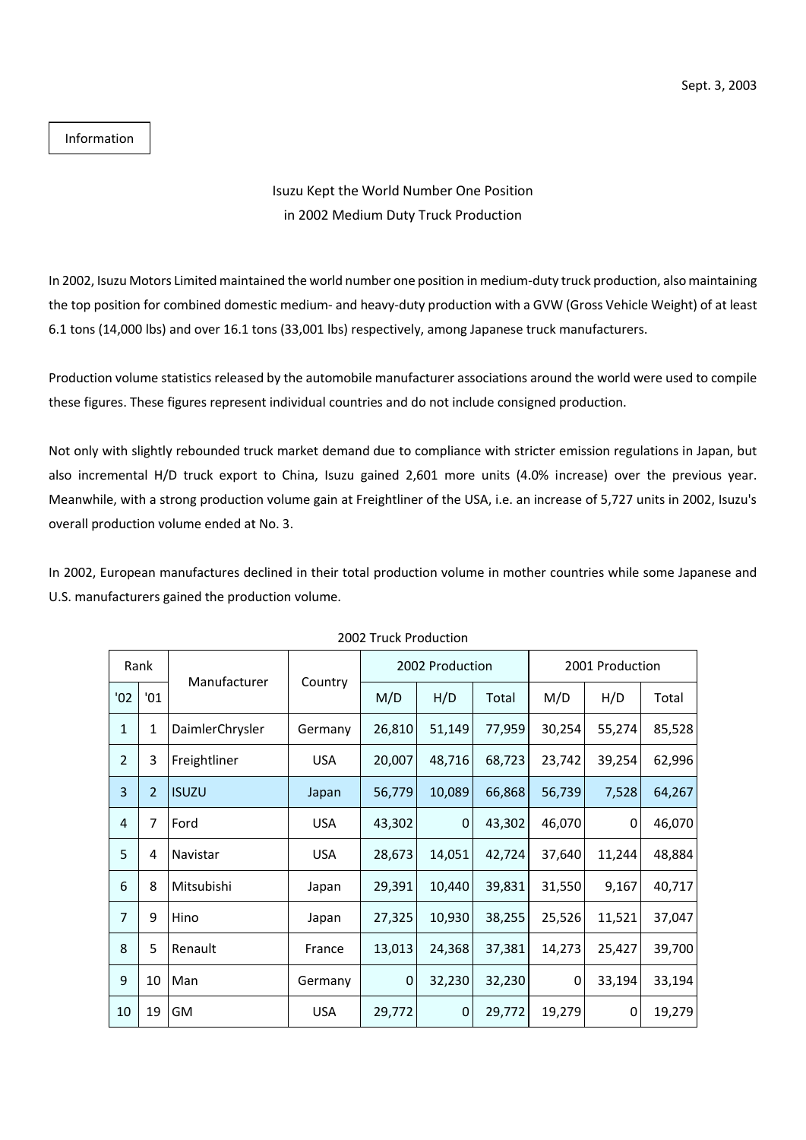Information

## Isuzu Kept the World Number One Position in 2002 Medium Duty Truck Production

In 2002, Isuzu Motors Limited maintained the world number one position in medium-duty truck production, also maintaining the top position for combined domestic medium- and heavy-duty production with a GVW (Gross Vehicle Weight) of at least 6.1 tons (14,000 lbs) and over 16.1 tons (33,001 lbs) respectively, among Japanese truck manufacturers.

Production volume statistics released by the automobile manufacturer associations around the world were used to compile these figures. These figures represent individual countries and do not include consigned production.

Not only with slightly rebounded truck market demand due to compliance with stricter emission regulations in Japan, but also incremental H/D truck export to China, Isuzu gained 2,601 more units (4.0% increase) over the previous year. Meanwhile, with a strong production volume gain at Freightliner of the USA, i.e. an increase of 5,727 units in 2002, Isuzu's overall production volume ended at No. 3.

In 2002, European manufactures declined in their total production volume in mother countries while some Japanese and U.S. manufacturers gained the production volume.

| 2002 TIUCK I TOUUCHOIT |                |                 |            |                 |        |        |                 |        |        |
|------------------------|----------------|-----------------|------------|-----------------|--------|--------|-----------------|--------|--------|
| Rank                   |                | Manufacturer    |            | 2002 Production |        |        | 2001 Production |        |        |
| '02                    | '01            |                 | Country    | M/D             | H/D    | Total  | M/D             | H/D    | Total  |
| $\mathbf{1}$           | 1              | DaimlerChrysler | Germany    | 26,810          | 51,149 | 77,959 | 30,254          | 55,274 | 85,528 |
| $\overline{2}$         | 3              | Freightliner    | <b>USA</b> | 20,007          | 48,716 | 68,723 | 23,742          | 39,254 | 62,996 |
| 3                      | $\overline{2}$ | <b>ISUZU</b>    | Japan      | 56,779          | 10,089 | 66,868 | 56,739          | 7,528  | 64,267 |
| 4                      | 7              | Ford            | <b>USA</b> | 43,302          | 0      | 43,302 | 46,070          | 0      | 46,070 |
| 5                      | 4              | Navistar        | <b>USA</b> | 28,673          | 14,051 | 42,724 | 37,640          | 11,244 | 48,884 |
| 6                      | 8              | Mitsubishi      | Japan      | 29,391          | 10,440 | 39,831 | 31,550          | 9,167  | 40,717 |
| $\overline{7}$         | 9              | Hino            | Japan      | 27,325          | 10,930 | 38,255 | 25,526          | 11,521 | 37,047 |
| 8                      | 5              | Renault         | France     | 13,013          | 24,368 | 37,381 | 14,273          | 25,427 | 39,700 |
| 9                      | 10             | Man             | Germany    | 0               | 32,230 | 32,230 | 0               | 33,194 | 33,194 |
| 10                     | 19             | GM              | <b>USA</b> | 29,772          | 0      | 29,772 | 19,279          | 0      | 19,279 |

## 2002 Truck Production